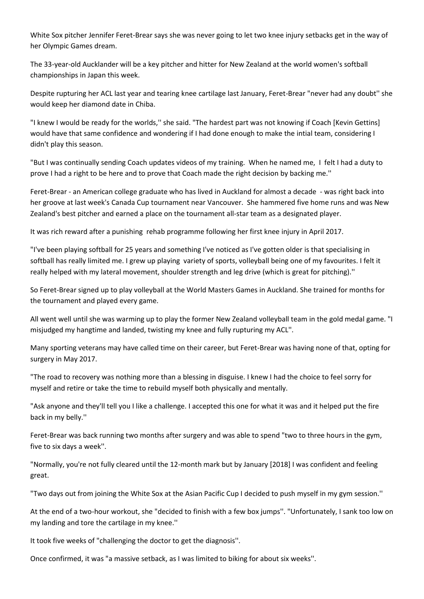White Sox pitcher Jennifer Feret-Brear says she was never going to let two knee injury setbacks get in the way of her Olympic Games dream.

The 33-year-old Aucklander will be a key pitcher and hitter for New Zealand at the world women's softball championships in Japan this week.

Despite rupturing her ACL last year and tearing knee cartilage last January, Feret-Brear "never had any doubt'' she would keep her diamond date in Chiba.

"I knew I would be ready for the worlds,'' she said. "The hardest part was not knowing if Coach [Kevin Gettins] would have that same confidence and wondering if I had done enough to make the intial team, considering I didn't play this season.

"But I was continually sending Coach updates videos of my training. When he named me, I felt I had a duty to prove I had a right to be here and to prove that Coach made the right decision by backing me.''

Feret-Brear - an American college graduate who has lived in Auckland for almost a decade - was right back into her groove at last week's Canada Cup tournament near Vancouver. She hammered five home runs and was New Zealand's best pitcher and earned a place on the tournament all-star team as a designated player.

It was rich reward after a punishing rehab programme following her first knee injury in April 2017.

"I've been playing softball for 25 years and something I've noticed as I've gotten older is that specialising in softball has really limited me. I grew up playing variety of sports, volleyball being one of my favourites. I felt it really helped with my lateral movement, shoulder strength and leg drive (which is great for pitching).''

So Feret-Brear signed up to play volleyball at the World Masters Games in Auckland. She trained for months for the tournament and played every game.

All went well until she was warming up to play the former New Zealand volleyball team in the gold medal game. "I misjudged my hangtime and landed, twisting my knee and fully rupturing my ACL''.

Many sporting veterans may have called time on their career, but Feret-Brear was having none of that, opting for surgery in May 2017.

"The road to recovery was nothing more than a blessing in disguise. I knew I had the choice to feel sorry for myself and retire or take the time to rebuild myself both physically and mentally.

"Ask anyone and they'll tell you I like a challenge. I accepted this one for what it was and it helped put the fire back in my belly.''

Feret-Brear was back running two months after surgery and was able to spend "two to three hours in the gym, five to six days a week''.

"Normally, you're not fully cleared until the 12-month mark but by January [2018] I was confident and feeling great.

"Two days out from joining the White Sox at the Asian Pacific Cup I decided to push myself in my gym session.''

At the end of a two-hour workout, she "decided to finish with a few box jumps''. "Unfortunately, I sank too low on my landing and tore the cartilage in my knee.''

It took five weeks of "challenging the doctor to get the diagnosis''.

Once confirmed, it was "a massive setback, as I was limited to biking for about six weeks''.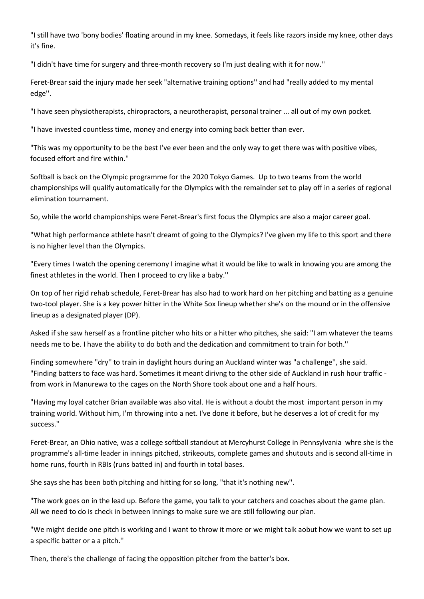"I still have two 'bony bodies' floating around in my knee. Somedays, it feels like razors inside my knee, other days it's fine.

"I didn't have time for surgery and three-month recovery so I'm just dealing with it for now.''

Feret-Brear said the injury made her seek "alternative training options'' and had "really added to my mental edge''.

"I have seen physiotherapists, chiropractors, a neurotherapist, personal trainer ... all out of my own pocket.

"I have invested countless time, money and energy into coming back better than ever.

"This was my opportunity to be the best I've ever been and the only way to get there was with positive vibes, focused effort and fire within.''

Softball is back on the Olympic programme for the 2020 Tokyo Games. Up to two teams from the world championships will qualify automatically for the Olympics with the remainder set to play off in a series of regional elimination tournament.

So, while the world championships were Feret-Brear's first focus the Olympics are also a major career goal.

"What high performance athlete hasn't dreamt of going to the Olympics? I've given my life to this sport and there is no higher level than the Olympics.

"Every times I watch the opening ceremony I imagine what it would be like to walk in knowing you are among the finest athletes in the world. Then I proceed to cry like a baby.''

On top of her rigid rehab schedule, Feret-Brear has also had to work hard on her pitching and batting as a genuine two-tool player. She is a key power hitter in the White Sox lineup whether she's on the mound or in the offensive lineup as a designated player (DP).

Asked if she saw herself as a frontline pitcher who hits or a hitter who pitches, she said: "I am whatever the teams needs me to be. I have the ability to do both and the dedication and commitment to train for both.''

Finding somewhere "dry'' to train in daylight hours during an Auckland winter was "a challenge'', she said. "Finding batters to face was hard. Sometimes it meant dirivng to the other side of Auckland in rush hour traffic from work in Manurewa to the cages on the North Shore took about one and a half hours.

"Having my loyal catcher Brian available was also vital. He is without a doubt the most important person in my training world. Without him, I'm throwing into a net. I've done it before, but he deserves a lot of credit for my success.''

Feret-Brear, an Ohio native, was a college softball standout at Mercyhurst College in Pennsylvania whre she is the programme's all-time leader in innings pitched, strikeouts, complete games and shutouts and is second all-time in home runs, fourth in RBIs (runs batted in) and fourth in total bases.

She says she has been both pitching and hitting for so long, "that it's nothing new''.

"The work goes on in the lead up. Before the game, you talk to your catchers and coaches about the game plan. All we need to do is check in between innings to make sure we are still following our plan.

"We might decide one pitch is working and I want to throw it more or we might talk aobut how we want to set up a specific batter or a a pitch.''

Then, there's the challenge of facing the opposition pitcher from the batter's box.